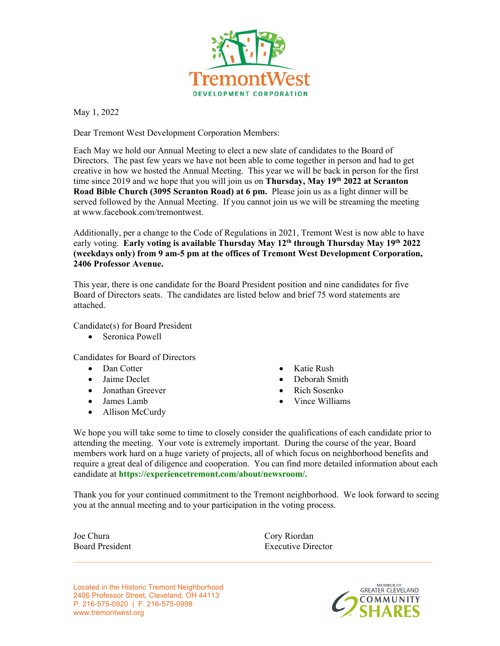

May 1, 2022

Dear Tremont West Development Corporation Members:

Each May we hold our Annual Meeting to elect a new slate of candidates to the Board of Directors. The past few years we have not been able to come together in person and had to get creative in how we hosted the Annual Meeting. This year we will be back in person for the first time since 2019 and we hope that you will join us on **Thursday, May 19th 2022 at Scranton Road Bible Church (3095 Scranton Road) at 6 pm.** Please join us as a light dinner will be served followed by the Annual Meeting. If you cannot join us we will be streaming the meeting at www.facebook.com/tremontwest.

Additionally, per a change to the Code of Regulations in 2021, Tremont West is now able to have early voting. **Early voting is available Thursday May 12th through Thursday May 19th 2022 (weekdays only) from 9 am-5 pm at the offices of Tremont West Development Corporation, 2406 Professor Avenue.** 

This year, there is one candidate for the Board President position and nine candidates for five Board of Directors seats. The candidates are listed below and brief 75 word statements are attached.

Candidate(s) for Board President

Seronica Powell

Candidates for Board of Directors

- Dan Cotter
- Jaime Declet
- Jonathan Greever
- James Lamb
- Allison McCurdy
- Katie Rush
- Deborah Smith
- Rich Sosenko
- Vince Williams

We hope you will take some to time to closely consider the qualifications of each candidate prior to attending the meeting. Your vote is extremely important. During the course of the year, Board members work hard on a huge variety of projects, all of which focus on neighborhood benefits and require a great deal of diligence and cooperation. You can find more detailed information about each candidate at **https://experiencetremont.com/about/newsroom/.**

Thank you for your continued commitment to the Tremont neighborhood. We look forward to seeing you at the annual meeting and to your participation in the voting process.

Joe Chura Board President

Cory Riordan Executive Director

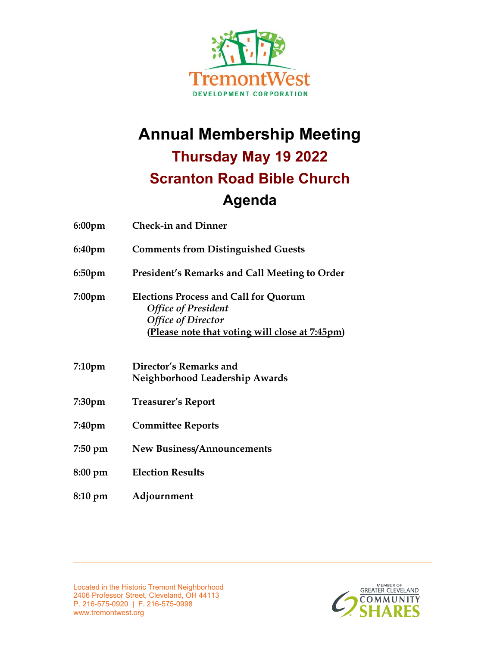

# **Annual Membership Meeting**

# **Thursday May 19 2022 Scranton Road Bible Church**

# **Agenda**

| $6:00$ pm          | <b>Check-in and Dinner</b>                                                                                                                                |
|--------------------|-----------------------------------------------------------------------------------------------------------------------------------------------------------|
| 6:40pm             | <b>Comments from Distinguished Guests</b>                                                                                                                 |
| 6:50 <sub>pm</sub> | President's Remarks and Call Meeting to Order                                                                                                             |
| $7:00$ pm          | <b>Elections Process and Call for Quorum</b><br><b>Office of President</b><br><b>Office of Director</b><br>(Please note that voting will close at 7:45pm) |
| 7:10pm             | Director's Remarks and<br>Neighborhood Leadership Awards                                                                                                  |
| 7:30pm             | <b>Treasurer's Report</b>                                                                                                                                 |
| 7:40pm             | <b>Committee Reports</b>                                                                                                                                  |
| 7:50 pm            | <b>New Business/Announcements</b>                                                                                                                         |
| 8:00 pm            | <b>Election Results</b>                                                                                                                                   |
| 8:10 pm            | Adjournment                                                                                                                                               |

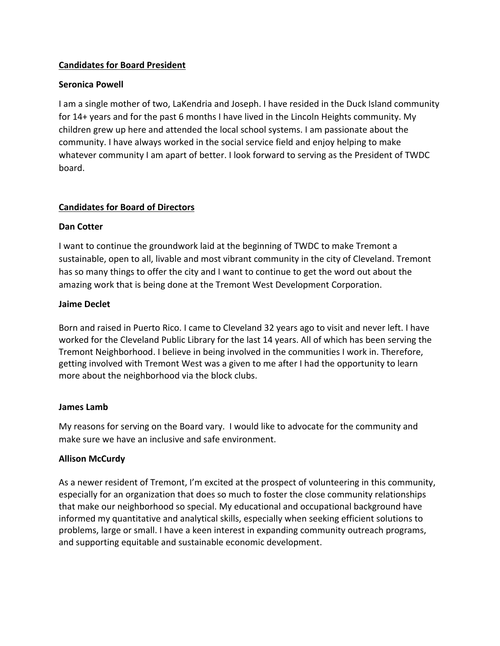# **Candidates for Board President**

# **Seronica Powell**

I am a single mother of two, LaKendria and Joseph. I have resided in the Duck Island community for 14+ years and for the past 6 months I have lived in the Lincoln Heights community. My children grew up here and attended the local school systems. I am passionate about the community. I have always worked in the social service field and enjoy helping to make whatever community I am apart of better. I look forward to serving as the President of TWDC board.

# **Candidates for Board of Directors**

#### **Dan Cotter**

I want to continue the groundwork laid at the beginning of TWDC to make Tremont a sustainable, open to all, livable and most vibrant community in the city of Cleveland. Tremont has so many things to offer the city and I want to continue to get the word out about the amazing work that is being done at the Tremont West Development Corporation.

#### **Jaime Declet**

Born and raised in Puerto Rico. I came to Cleveland 32 years ago to visit and never left. I have worked for the Cleveland Public Library for the last 14 years. All of which has been serving the Tremont Neighborhood. I believe in being involved in the communities I work in. Therefore, getting involved with Tremont West was a given to me after I had the opportunity to learn more about the neighborhood via the block clubs.

#### **James Lamb**

My reasons for serving on the Board vary. I would like to advocate for the community and make sure we have an inclusive and safe environment.

# **Allison McCurdy**

As a newer resident of Tremont, I'm excited at the prospect of volunteering in this community, especially for an organization that does so much to foster the close community relationships that make our neighborhood so special. My educational and occupational background have informed my quantitative and analytical skills, especially when seeking efficient solutions to problems, large or small. I have a keen interest in expanding community outreach programs, and supporting equitable and sustainable economic development.